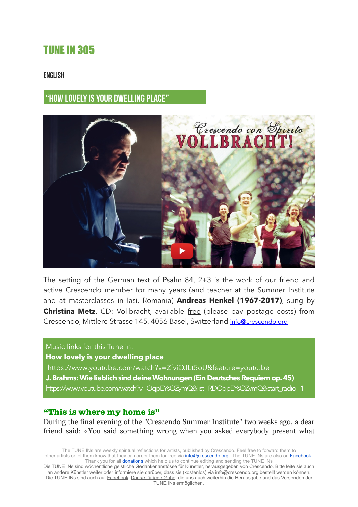# TUNE IN 305

### ENGLISH

# **"HOW LOVELY IS YOUR DWELLING PLACE"**



The setting of the German text of Psalm 84, 2+3 is the work of our friend and active Crescendo member for many years (and teacher at the Summer Institute and at masterclasses in Iasi, Romania) **Andreas Henkel (1967-2017)**, sung by **Christina Metz**. CD: Vollbracht, available free (please pay postage costs) from Crescendo, Mittlere Strasse 145, 4056 Basel, Switzerland [info@crescendo.org](mailto:info@crescendo.org)

### Music links for this Tune in:

**How lovely is your dwelling place**

<https://www.youtube.com/watch?v=ZfviOJLt5oU&feature=youtu.be>

- **J. Brahms: Wie lieblich sind deine Wohnungen (Ein Deutsches Requiem op. 45)**
- [https://www.youtube.com/watch?v=OqpEYsOZymQ&list=RDOqpEYsOZymQ&start\\_radio=1](https://www.youtube.com/watch?v=OqpEYsOZymQ&list=RDOqpEYsOZymQ&start_radio=1)

## **"This is where my home is"**

During the final evening of the "Crescendo Summer Institute" two weeks ago, a dear friend said: «You said something wrong when you asked everybody present what

The TUNE INs are weekly spiritual reflections for artists, published by Crescendo. Feel free to forward them to other artists or let them know that they can order them for free via *[info@crescendo.org](mailto:info@crescendo.org)* . The TUNE INs are also on **Facebook**. Thank you for all **donations** which help us to continue editing and sending the TUNE INs

Die TUNE INs sind wöchentliche geistliche Gedankenanstösse für Künstler, herausgegeben von Crescendo. Bitte leite sie auch an andere Künstler weiter oder informiere sie darüber, dass sie (kostenlos) via [info@crescendo.org](mailto:info@crescendo.org) bestellt werden können. Die TUNE INs sind auch auf [Facebook](https://www.facebook.com/TUNEINs/). [Danke für jede Gabe](https://www.crescendo.org/de/kontakt--spenden.html), die uns auch weiterhin die Herausgabe und das Versenden der .<br>TUNE INs ermöglichen.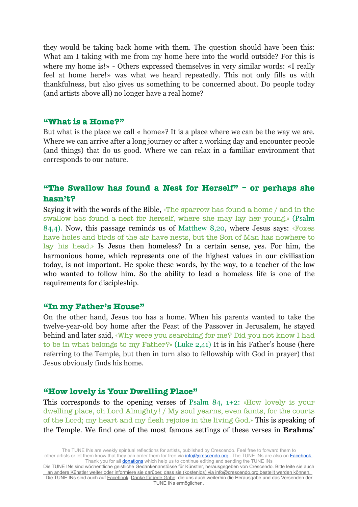they would be taking back home with them. The question should have been this: What am I taking with me from my home here into the world outside? For this is where my home is!» - Others expressed themselves in very similar words: «I really feel at home here!» was what we heard repeatedly. This not only fills us with thankfulness, but also gives us something to be concerned about. Do people today (and artists above all) no longer have a real home?

### **"What is a Home?"**

But what is the place we call « home»? It is a place where we can be the way we are. Where we can arrive after a long journey or after a working day and encounter people (and things) that do us good. Where we can relax in a familiar environment that corresponds to our nature.

## **"The Swallow has found a Nest for Herself" – or perhaps she hasn't?**

Saying it with the words of the Bible, «The sparrow has found a home / and in the swallow has found a nest for herself, where she may lay her young.» (Psalm 84,4). Now, this passage reminds us of Matthew 8,20, where Jesus says: «Foxes have holes and birds of the air have nests, but the Son of Man has nowhere to lay his head.» Is Jesus then homeless? In a certain sense, yes. For him, the harmonious home, which represents one of the highest values in our civilisation today, is not important. He spoke these words, by the way, to a teacher of the law who wanted to follow him. So the ability to lead a homeless life is one of the requirements for discipleship.

### **"In my Father's House"**

On the other hand, Jesus too has a home. When his parents wanted to take the twelve-year-old boy home after the Feast of the Passover in Jerusalem, he stayed behind and later said, «Why were you searching for me? Did you not know I had to be in what belongs to my Father?» (Luke 2,41) It is in his Father's house (here referring to the Temple, but then in turn also to fellowship with God in prayer) that Jesus obviously finds his home.

### **"How lovely is Your Dwelling Place"**

This corresponds to the opening verses of Psalm 84, 1+2: «How lovely is your dwelling place, oh Lord Almighty! / My soul yearns, even faints, for the courts of the Lord; my heart and my flesh rejoice in the living God.» This is speaking of the Temple. We find one of the most famous settings of these verses in **Brahms'**

The TUNE INs are weekly spiritual reflections for artists, published by Crescendo. Feel free to forward them to other artists or let them know that they can order them for free via *[info@crescendo.org](mailto:info@crescendo.org)* . The TUNE INs are also on **Facebook**. Thank you for all **donations** which help us to continue editing and sending the TUNE INs

Die TUNE INs sind wöchentliche geistliche Gedankenanstösse für Künstler, herausgegeben von Crescendo. Bitte leite sie auch an andere Künstler weiter oder informiere sie darüber, dass sie (kostenlos) via [info@crescendo.org](mailto:info@crescendo.org) bestellt werden können. Die TUNE INs sind auch auf [Facebook](https://www.facebook.com/TUNEINs/). [Danke für jede Gabe](https://www.crescendo.org/de/kontakt--spenden.html), die uns auch weiterhin die Herausgabe und das Versenden der .<br>TUNE INs ermöglichen.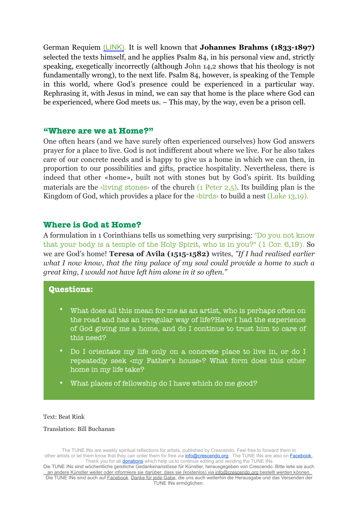German Requiem [\(LINK\)](http://p.newslettertogo.com/pklockf7-wjeymp6u-oa8gp053-myt). It is well known that **Johannes Brahms (1833-1897)**  selected the texts himself, and he applies Psalm 84, in his personal view and, strictly speaking, exegetically incorrectly (although John 14,2 shows that his theology is not fundamentally wrong), to the next life. Psalm 84, however, is speaking of the Temple in this world, where God's presence could be experienced in a particular way. Rephrasing it, with Jesus in mind, we can say that home is the place where God can be experienced, where God meets us. – This may, by the way, even be a prison cell.

### **"Where are we at Home?"**

One often hears (and we have surely often experienced ourselves) how God answers prayer for a place to live. God is not indifferent about where we live. For he also takes care of our concrete needs and is happy to give us a home in which we can then, in proportion to our possibilities and gifts, practice hospitality. Nevertheless, there is indeed that other «home», built not with stones but by God's spirit. Its building materials are the «living stones» of the church (1 Peter 2,5). Its building plan is the Kingdom of God, which provides a place for the «birds» to build a nest (Luke 13,19).

### **Where is God at Home?**

A formulation in 1 Corinthians tells us something very surprising: "Do you not know that your body is a temple of the Holy Spirit, who is in you?" (1 Cor. 6,19). So we are God's home! **Teresa of Avila (1515-1582)** writes, *"If I had realised earlier what I now know, that the tiny palace of my soul could provide a home to such a great king, I would not have left him alone in it so often."*

### **Questions:**

- What does all this mean for me as an artist, who is perhaps often on the road and has an irregular way of life?Have I had the experience of God giving me a home, and do I continue to trust him to care of this need?
- Do I orientate my life only on a concrete place to live in, or do I repeatedly seek «my Father's house»? What form does this other home in my life take?
- What places of fellowship do I have which do me good?

#### Text: Beat Rink

#### Translation: Bill Buchanan

The TUNE INs are weekly spiritual reflections for artists, published by Crescendo. Feel free to forward them to other artists or let them know that they can order them for free via [info@crescendo.org](mailto:info@crescendo.org). The TUNE INs are also on **Facebook** Thank you for all **donations** which help us to continue editing and sending the TUNE INs

Die TUNE INs sind wöchentliche geistliche Gedankenanstösse für Künstler, herausgegeben von Crescendo. Bitte leite sie auch an andere Künstler weiter oder informiere sie darüber, dass sie (kostenlos) via [info@crescendo.org](mailto:info@crescendo.org) bestellt werden können. Die TUNE INs sind auch auf [Facebook](https://www.facebook.com/TUNEINs/). [Danke für jede Gabe](https://www.crescendo.org/de/kontakt--spenden.html), die uns auch weiterhin die Herausgabe und das Versenden der .<br>TUNE INs ermöglichen.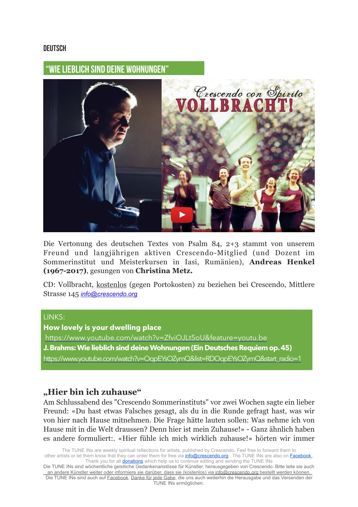### **DEUTSCH**

## **"WIE LIEBLICH SIND DEINE WOHNUNGEN"**



Die Vertonung des deutschen Textes von Psalm 84, 2+3 stammt von unserem Freund und langjährigen aktiven Crescendo-Mitglied (und Dozent im Sommerinstitut und Meisterkursen in Iasi, Rumänien), **Andreas Henkel (1967-2017)**, gesungen von **Christina Metz.** 

CD: Vollbracht, kostenlos (gegen Portokosten) zu beziehen bei Crescendo, Mittlere Strasse 145 *[info@crescendo.org](mailto:info@crescendo.org)*

### LINKS:

**How lovely is your dwelling place** <https://www.youtube.com/watch?v=ZfviOJLt5oU&feature=youtu.be> **J. Brahms: Wie lieblich sind deine Wohnungen (Ein Deutsches Requiem op. 45)**  [https://www.youtube.com/watch?v=OqpEYsOZymQ&list=RDOqpEYsOZymQ&start\\_radio=1](https://www.youtube.com/watch?v=OqpEYsOZymQ&list=RDOqpEYsOZymQ&start_radio=1)

## **"Hier bin ich zuhause"**

Am Schlussabend des "Crescendo Sommerinstituts" vor zwei Wochen sagte ein lieber Freund: «Du hast etwas Falsches gesagt, als du in die Runde gefragt hast, was wir von hier nach Hause mitnehmen. Die Frage hätte lauten sollen: Was nehme ich von Hause mit in die Welt draussen? Denn hier ist mein Zuhause!» - Ganz ähnlich haben es andere formuliert:. «Hier fühle ich mich wirklich zuhause!» hörten wir immer

The TUNE INs are weekly spiritual reflections for artists, published by Crescendo. Feel free to forward them to other artists or let them know that they can order them for free via [info@crescendo.org](mailto:info@crescendo.org). The TUNE INs are also on **Facebook**. Thank you for all **donations** which help us to continue editing and sending the TUNE INs

Die TUNE INs sind wöchentliche geistliche Gedankenanstösse für Künstler, herausgegeben von Crescendo. Bitte leite sie auch an andere Künstler weiter oder informiere sie darüber, dass sie (kostenlos) via [info@crescendo.org](mailto:info@crescendo.org) bestellt werden können. Die TUNE INs sind auch auf [Facebook](https://www.facebook.com/TUNEINs/). [Danke für jede Gabe](https://www.crescendo.org/de/kontakt--spenden.html), die uns auch weiterhin die Herausgabe und das Versenden der TUNE INs ermöglichen.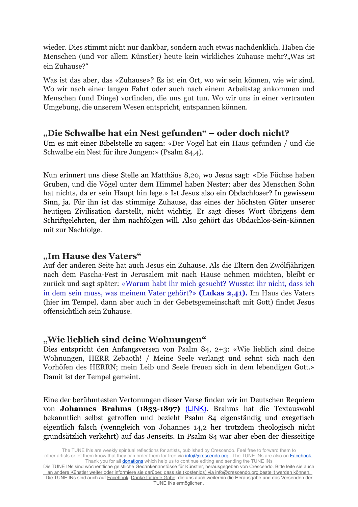wieder. Dies stimmt nicht nur dankbar, sondern auch etwas nachdenklich. Haben die Menschen (und vor allem Künstler) heute kein wirkliches Zuhause mehr? "Was ist ein Zuhause?"

Was ist das aber, das «Zuhause»? Es ist ein Ort, wo wir sein können, wie wir sind. Wo wir nach einer langen Fahrt oder auch nach einem Arbeitstag ankommen und Menschen (und Dinge) vorfinden, die uns gut tun. Wo wir uns in einer vertrauten Umgebung, die unserem Wesen entspricht, entspannen können.

## **"Die Schwalbe hat ein Nest gefunden" – oder doch nicht?**

Um es mit einer Bibelstelle zu sagen: «Der Vogel hat ein Haus gefunden / und die Schwalbe ein Nest für ihre Jungen:» (Psalm 84,4).

Nun erinnert uns diese Stelle an Matthäus 8,20, wo Jesus sagt: «Die Füchse haben Gruben, und die Vögel unter dem Himmel haben Nester; aber des Menschen Sohn hat nichts, da er sein Haupt hin lege.» Ist Jesus also ein Obdachloser? In gewissem Sinn, ja. Für ihn ist das stimmige Zuhause, das eines der höchsten Güter unserer heutigen Zivilisation darstellt, nicht wichtig. Er sagt dieses Wort übrigens dem Schriftgelehrten, der ihm nachfolgen will. Also gehört das Obdachlos-Sein-Können mit zur Nachfolge.

## **"Im Hause des Vaters"**

Auf der anderen Seite hat auch Jesus ein Zuhause. Als die Eltern den Zwölfjährigen nach dem Pascha-Fest in Jerusalem mit nach Hause nehmen möchten, bleibt er zurück und sagt später: «Warum habt ihr mich gesucht? Wusstet ihr nicht, dass ich in dem sein muss, was meinem Vater gehört?» **(Lukas 2,41).** Im Haus des Vaters (hier im Tempel, dann aber auch in der Gebetsgemeinschaft mit Gott) findet Jesus offensichtlich sein Zuhause.

## **"Wie lieblich sind deine Wohnungen"**

Dies entspricht den Anfangsversen von Psalm 84, 2+3: «Wie lieblich sind deine Wohnungen, HERR Zebaoth! / Meine Seele verlangt und sehnt sich nach den Vorhöfen des HERRN; mein Leib und Seele freuen sich in dem lebendigen Gott.» Damit ist der Tempel gemeint.

Eine der berühmtesten Vertonungen dieser Verse finden wir im Deutschen Requiem von **Johannes Brahms (1833-1897) [\(LINK\)](http://p.newslettertogo.com/pklockf7-wjeymp6u-qgfw26cj-4ua)**. Brahms hat die Textauswahl bekanntlich selbst getroffen und bezieht Psalm 84 eigenständig und exegetisch eigentlich falsch (wenngleich von Johannes 14,2 her trotzdem theologisch nicht grundsätzlich verkehrt) auf das Jenseits. In Psalm 84 war aber eben der diesseitige

The TUNE INs are weekly spiritual reflections for artists, published by Crescendo. Feel free to forward them to other artists or let them know that they can order them for free via [info@crescendo.org](mailto:info@crescendo.org). The TUNE INs are also on **Facebook**. Thank you for all **donations** which help us to continue editing and sending the TUNE INs

Die TUNE INs sind wöchentliche geistliche Gedankenanstösse für Künstler, herausgegeben von Crescendo. Bitte leite sie auch an andere Künstler weiter oder informiere sie darüber, dass sie (kostenlos) via [info@crescendo.org](mailto:info@crescendo.org) bestellt werden können. Die TUNE INs sind auch auf [Facebook](https://www.facebook.com/TUNEINs/). [Danke für jede Gabe](https://www.crescendo.org/de/kontakt--spenden.html), die uns auch weiterhin die Herausgabe und das Versenden der TUNE INs ermöglichen.